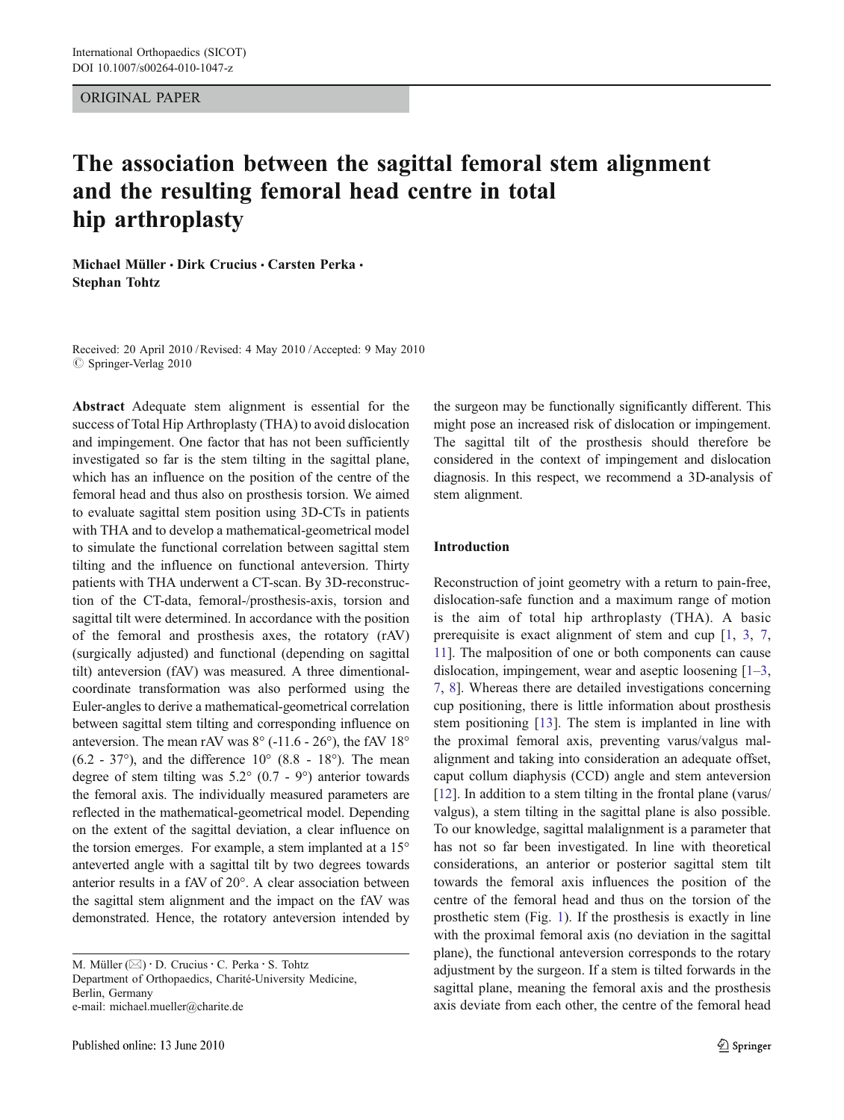ORIGINAL PAPER

# The association between the sagittal femoral stem alignment and the resulting femoral head centre in total hip arthroplasty

Michael Müller · Dirk Crucius · Carsten Perka · Stephan Tohtz

Received: 20 April 2010 /Revised: 4 May 2010 /Accepted: 9 May 2010  $\oslash$  Springer-Verlag 2010

Abstract Adequate stem alignment is essential for the success of Total Hip Arthroplasty (THA) to avoid dislocation and impingement. One factor that has not been sufficiently investigated so far is the stem tilting in the sagittal plane, which has an influence on the position of the centre of the femoral head and thus also on prosthesis torsion. We aimed to evaluate sagittal stem position using 3D-CTs in patients with THA and to develop a mathematical-geometrical model to simulate the functional correlation between sagittal stem tilting and the influence on functional anteversion. Thirty patients with THA underwent a CT-scan. By 3D-reconstruction of the CT-data, femoral-/prosthesis-axis, torsion and sagittal tilt were determined. In accordance with the position of the femoral and prosthesis axes, the rotatory (rAV) (surgically adjusted) and functional (depending on sagittal tilt) anteversion (fAV) was measured. A three dimentionalcoordinate transformation was also performed using the Euler-angles to derive a mathematical-geometrical correlation between sagittal stem tilting and corresponding influence on anteversion. The mean rAV was 8° (-11.6 - 26°), the fAV 18°  $(6.2 - 37^{\circ})$ , and the difference  $10^{\circ}$   $(8.8 - 18^{\circ})$ . The mean degree of stem tilting was 5.2° (0.7 - 9°) anterior towards the femoral axis. The individually measured parameters are reflected in the mathematical-geometrical model. Depending on the extent of the sagittal deviation, a clear influence on the torsion emerges. For example, a stem implanted at a 15° anteverted angle with a sagittal tilt by two degrees towards anterior results in a fAV of 20°. A clear association between the sagittal stem alignment and the impact on the fAV was demonstrated. Hence, the rotatory anteversion intended by

the surgeon may be functionally significantly different. This might pose an increased risk of dislocation or impingement. The sagittal tilt of the prosthesis should therefore be considered in the context of impingement and dislocation diagnosis. In this respect, we recommend a 3D-analysis of stem alignment.

## Introduction

Reconstruction of joint geometry with a return to pain-free, dislocation-safe function and a maximum range of motion is the aim of total hip arthroplasty (THA). A basic prerequisite is exact alignment of stem and cup [\[1](#page-6-0), [3](#page-6-0), [7,](#page-6-0) [11\]](#page-6-0). The malposition of one or both components can cause dislocation, impingement, wear and aseptic loosening [[1](#page-6-0)–[3,](#page-6-0) [7](#page-6-0), [8](#page-6-0)]. Whereas there are detailed investigations concerning cup positioning, there is little information about prosthesis stem positioning [[13\]](#page-6-0). The stem is implanted in line with the proximal femoral axis, preventing varus/valgus malalignment and taking into consideration an adequate offset, caput collum diaphysis (CCD) angle and stem anteversion [\[12](#page-6-0)]. In addition to a stem tilting in the frontal plane (varus/ valgus), a stem tilting in the sagittal plane is also possible. To our knowledge, sagittal malalignment is a parameter that has not so far been investigated. In line with theoretical considerations, an anterior or posterior sagittal stem tilt towards the femoral axis influences the position of the centre of the femoral head and thus on the torsion of the prosthetic stem (Fig. [1](#page-1-0)). If the prosthesis is exactly in line with the proximal femoral axis (no deviation in the sagittal plane), the functional anteversion corresponds to the rotary adjustment by the surgeon. If a stem is tilted forwards in the sagittal plane, meaning the femoral axis and the prosthesis axis deviate from each other, the centre of the femoral head

M. Müller  $(\boxtimes) \cdot$  D. Crucius  $\cdot$  C. Perka  $\cdot$  S. Tohtz Department of Orthopaedics, Charité-University Medicine, Berlin, Germany e-mail: michael.mueller@charite.de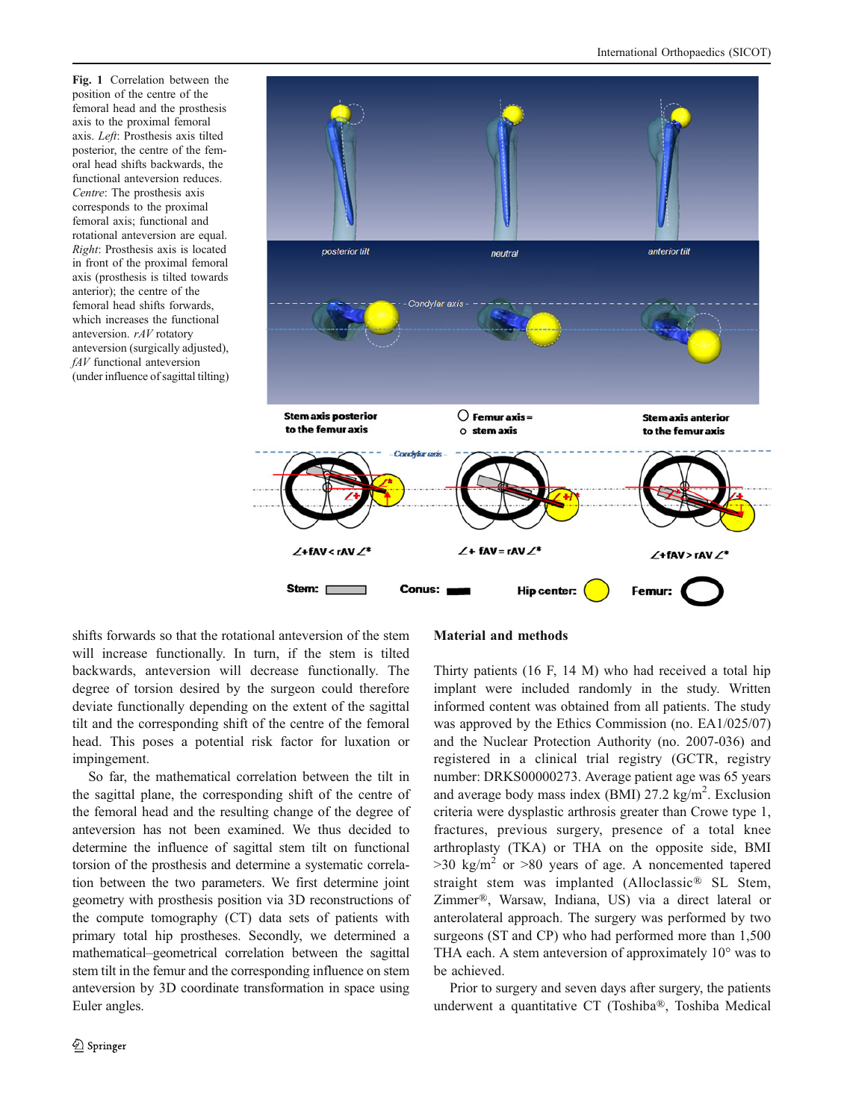<span id="page-1-0"></span>Fig. 1 Correlation between the position of the centre of the femoral head and the prosthesis axis to the proximal femoral axis. Left: Prosthesis axis tilted posterior, the centre of the femoral head shifts backwards, the functional anteversion reduces. Centre: The prosthesis axis corresponds to the proximal femoral axis; functional and rotational anteversion are equal. Right: Prosthesis axis is located in front of the proximal femoral axis (prosthesis is tilted towards anterior); the centre of the femoral head shifts forwards, which increases the functional anteversion. rAV rotatory anteversion (surgically adjusted), fAV functional anteversion (under influence of sagittal tilting)



shifts forwards so that the rotational anteversion of the stem will increase functionally. In turn, if the stem is tilted backwards, anteversion will decrease functionally. The degree of torsion desired by the surgeon could therefore deviate functionally depending on the extent of the sagittal tilt and the corresponding shift of the centre of the femoral head. This poses a potential risk factor for luxation or impingement.

So far, the mathematical correlation between the tilt in the sagittal plane, the corresponding shift of the centre of the femoral head and the resulting change of the degree of anteversion has not been examined. We thus decided to determine the influence of sagittal stem tilt on functional torsion of the prosthesis and determine a systematic correlation between the two parameters. We first determine joint geometry with prosthesis position via 3D reconstructions of the compute tomography (CT) data sets of patients with primary total hip prostheses. Secondly, we determined a mathematical–geometrical correlation between the sagittal stem tilt in the femur and the corresponding influence on stem anteversion by 3D coordinate transformation in space using Euler angles.

## Material and methods

Thirty patients (16 F, 14 M) who had received a total hip implant were included randomly in the study. Written informed content was obtained from all patients. The study was approved by the Ethics Commission (no. EA1/025/07) and the Nuclear Protection Authority (no. 2007-036) and registered in a clinical trial registry (GCTR, registry number: DRKS00000273. Average patient age was 65 years and average body mass index (BMI)  $27.2 \text{ kg/m}^2$ . Exclusion criteria were dysplastic arthrosis greater than Crowe type 1, fractures, previous surgery, presence of a total knee arthroplasty (TKA) or THA on the opposite side, BMI  $>30$  kg/m<sup>2</sup> or  $>80$  years of age. A noncemented tapered straight stem was implanted (Alloclassic® SL Stem, Zimmer®, Warsaw, Indiana, US) via a direct lateral or anterolateral approach. The surgery was performed by two surgeons (ST and CP) who had performed more than 1,500 THA each. A stem anteversion of approximately 10° was to be achieved.

Prior to surgery and seven days after surgery, the patients underwent a quantitative CT (Toshiba®, Toshiba Medical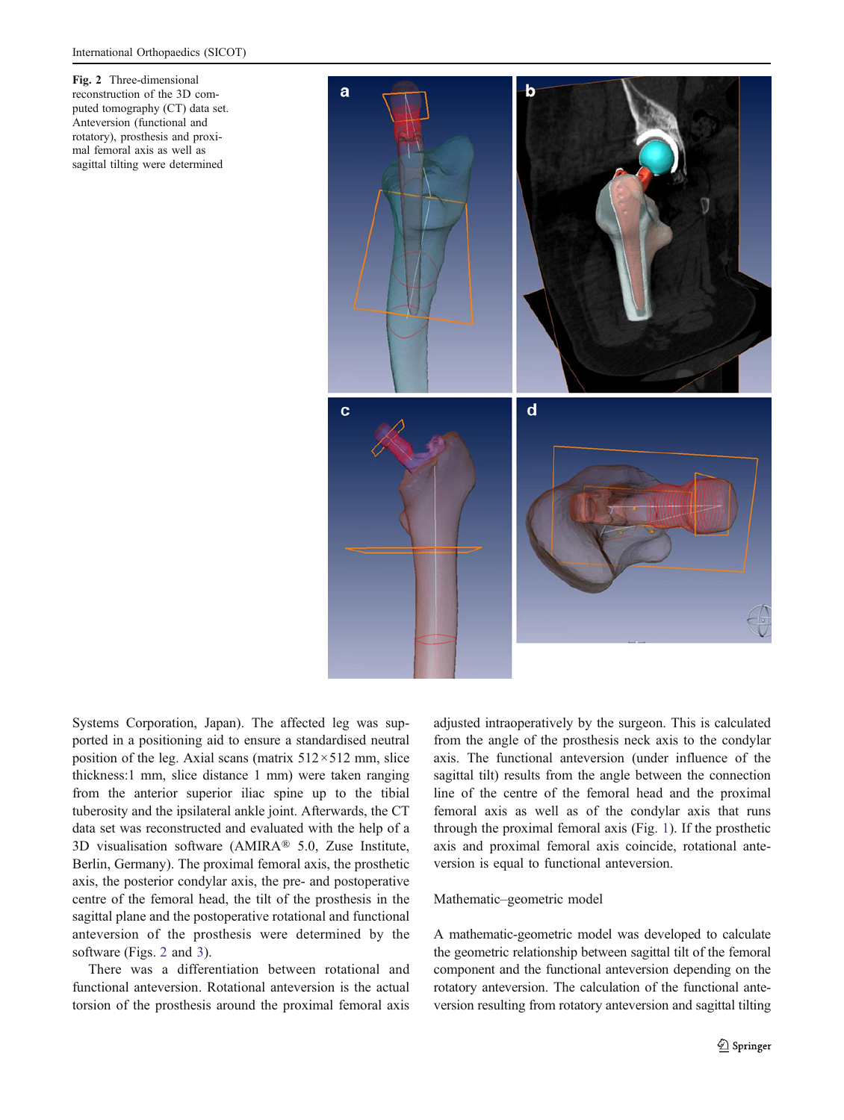Fig. 2 Three-dimensional reconstruction of the 3D computed tomography (CT) data set. Anteversion (functional and rotatory), prosthesis and proximal femoral axis as well as sagittal tilting were determined



Systems Corporation, Japan). The affected leg was supported in a positioning aid to ensure a standardised neutral position of the leg. Axial scans (matrix  $512 \times 512$  mm, slice thickness:1 mm, slice distance 1 mm) were taken ranging from the anterior superior iliac spine up to the tibial tuberosity and the ipsilateral ankle joint. Afterwards, the CT data set was reconstructed and evaluated with the help of a 3D visualisation software (AMIRA® 5.0, Zuse Institute, Berlin, Germany). The proximal femoral axis, the prosthetic axis, the posterior condylar axis, the pre- and postoperative centre of the femoral head, the tilt of the prosthesis in the sagittal plane and the postoperative rotational and functional anteversion of the prosthesis were determined by the software (Figs. 2 and [3\)](#page-3-0).

There was a differentiation between rotational and functional anteversion. Rotational anteversion is the actual torsion of the prosthesis around the proximal femoral axis adjusted intraoperatively by the surgeon. This is calculated from the angle of the prosthesis neck axis to the condylar axis. The functional anteversion (under influence of the sagittal tilt) results from the angle between the connection line of the centre of the femoral head and the proximal femoral axis as well as of the condylar axis that runs through the proximal femoral axis (Fig. [1](#page-1-0)). If the prosthetic axis and proximal femoral axis coincide, rotational anteversion is equal to functional anteversion.

#### Mathematic–geometric model

A mathematic-geometric model was developed to calculate the geometric relationship between sagittal tilt of the femoral component and the functional anteversion depending on the rotatory anteversion. The calculation of the functional anteversion resulting from rotatory anteversion and sagittal tilting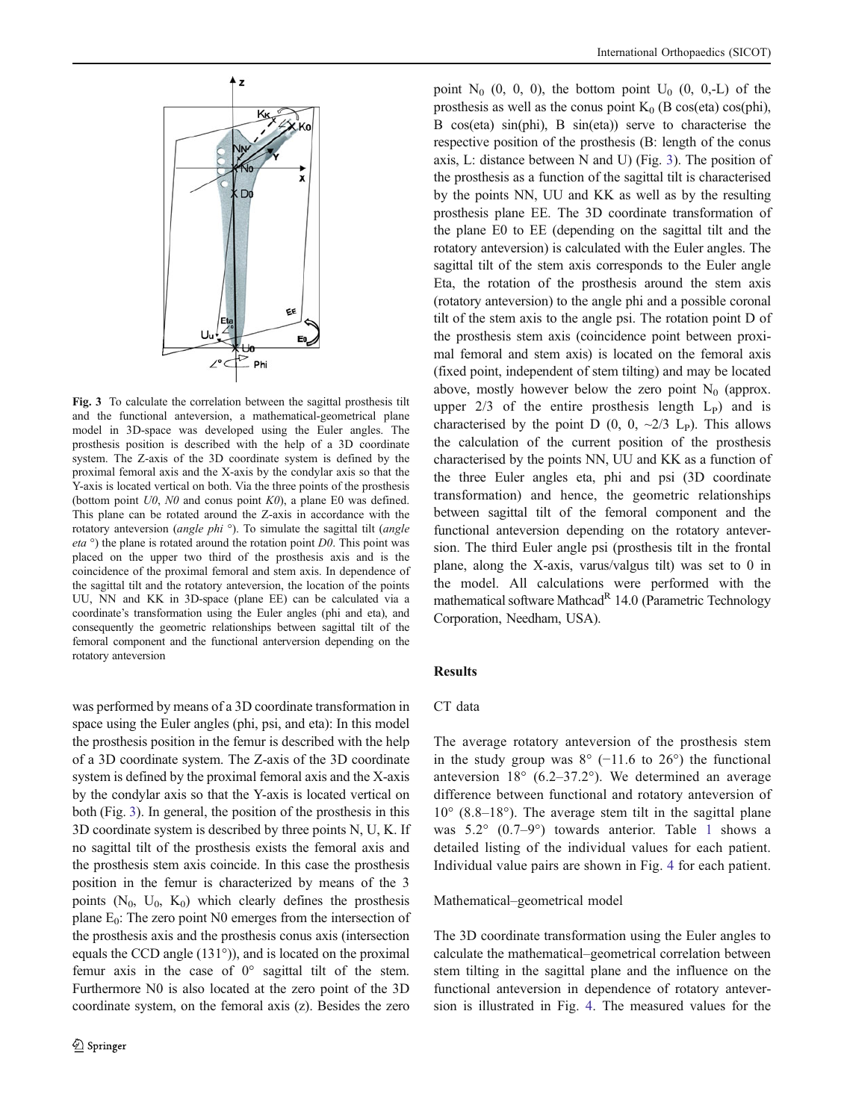<span id="page-3-0"></span>

Fig. 3 To calculate the correlation between the sagittal prosthesis tilt and the functional anteversion, a mathematical-geometrical plane model in 3D-space was developed using the Euler angles. The prosthesis position is described with the help of a 3D coordinate system. The Z-axis of the 3D coordinate system is defined by the proximal femoral axis and the X-axis by the condylar axis so that the Y-axis is located vertical on both. Via the three points of the prosthesis (bottom point  $U_0$ ,  $N_0$  and conus point  $K_0$ ), a plane E0 was defined. This plane can be rotated around the Z-axis in accordance with the rotatory anteversion (angle phi<sup>o</sup>). To simulate the sagittal tilt (angle *eta*  $\circ$ ) the plane is rotated around the rotation point *D0*. This point was placed on the upper two third of the prosthesis axis and is the coincidence of the proximal femoral and stem axis. In dependence of the sagittal tilt and the rotatory anteversion, the location of the points UU, NN and KK in 3D-space (plane EE) can be calculated via a coordinate's transformation using the Euler angles (phi and eta), and consequently the geometric relationships between sagittal tilt of the femoral component and the functional anterversion depending on the rotatory anteversion

was performed by means of a 3D coordinate transformation in space using the Euler angles (phi, psi, and eta): In this model the prosthesis position in the femur is described with the help of a 3D coordinate system. The Z-axis of the 3D coordinate system is defined by the proximal femoral axis and the X-axis by the condylar axis so that the Y-axis is located vertical on both (Fig. 3). In general, the position of the prosthesis in this 3D coordinate system is described by three points N, U, K. If no sagittal tilt of the prosthesis exists the femoral axis and the prosthesis stem axis coincide. In this case the prosthesis position in the femur is characterized by means of the 3 points  $(N_0, U_0, K_0)$  which clearly defines the prosthesis plane  $E_0$ : The zero point N0 emerges from the intersection of the prosthesis axis and the prosthesis conus axis (intersection equals the CCD angle (131°)), and is located on the proximal femur axis in the case of  $0^{\circ}$  sagittal tilt of the stem. Furthermore N0 is also located at the zero point of the 3D coordinate system, on the femoral axis (z). Besides the zero

point  $N_0$  (0, 0, 0), the bottom point  $U_0$  (0, 0,-L) of the prosthesis as well as the conus point  $K_0$  (B cos(eta) cos(phi), B cos(eta) sin(phi), B sin(eta)) serve to characterise the respective position of the prosthesis (B: length of the conus axis, L: distance between N and U) (Fig. 3). The position of the prosthesis as a function of the sagittal tilt is characterised by the points NN, UU and KK as well as by the resulting prosthesis plane EE. The 3D coordinate transformation of the plane E0 to EE (depending on the sagittal tilt and the rotatory anteversion) is calculated with the Euler angles. The sagittal tilt of the stem axis corresponds to the Euler angle Eta, the rotation of the prosthesis around the stem axis (rotatory anteversion) to the angle phi and a possible coronal tilt of the stem axis to the angle psi. The rotation point D of the prosthesis stem axis (coincidence point between proximal femoral and stem axis) is located on the femoral axis (fixed point, independent of stem tilting) and may be located above, mostly however below the zero point  $N_0$  (approx. upper  $2/3$  of the entire prosthesis length  $L<sub>P</sub>$ ) and is characterised by the point D  $(0, 0, \sim 2/3$  L<sub>P</sub>). This allows the calculation of the current position of the prosthesis characterised by the points NN, UU and KK as a function of the three Euler angles eta, phi and psi (3D coordinate transformation) and hence, the geometric relationships between sagittal tilt of the femoral component and the functional anteversion depending on the rotatory anteversion. The third Euler angle psi (prosthesis tilt in the frontal plane, along the X-axis, varus/valgus tilt) was set to 0 in the model. All calculations were performed with the mathematical software Mathcad<sup>R</sup> 14.0 (Parametric Technology Corporation, Needham, USA).

## Results

# CT data

The average rotatory anteversion of the prosthesis stem in the study group was  $8^{\circ}$  (−11.6 to 26 $^{\circ}$ ) the functional anteversion  $18^{\circ}$  (6.2–37.2°). We determined an average difference between functional and rotatory anteversion of  $10^{\circ}$  (8.8–18°). The average stem tilt in the sagittal plane was 5.2° (0.7–9°) towards anterior. Table [1](#page-4-0) shows a detailed listing of the individual values for each patient. Individual value pairs are shown in Fig. [4](#page-4-0) for each patient.

#### Mathematical–geometrical model

The 3D coordinate transformation using the Euler angles to calculate the mathematical–geometrical correlation between stem tilting in the sagittal plane and the influence on the functional anteversion in dependence of rotatory anteversion is illustrated in Fig. [4](#page-4-0). The measured values for the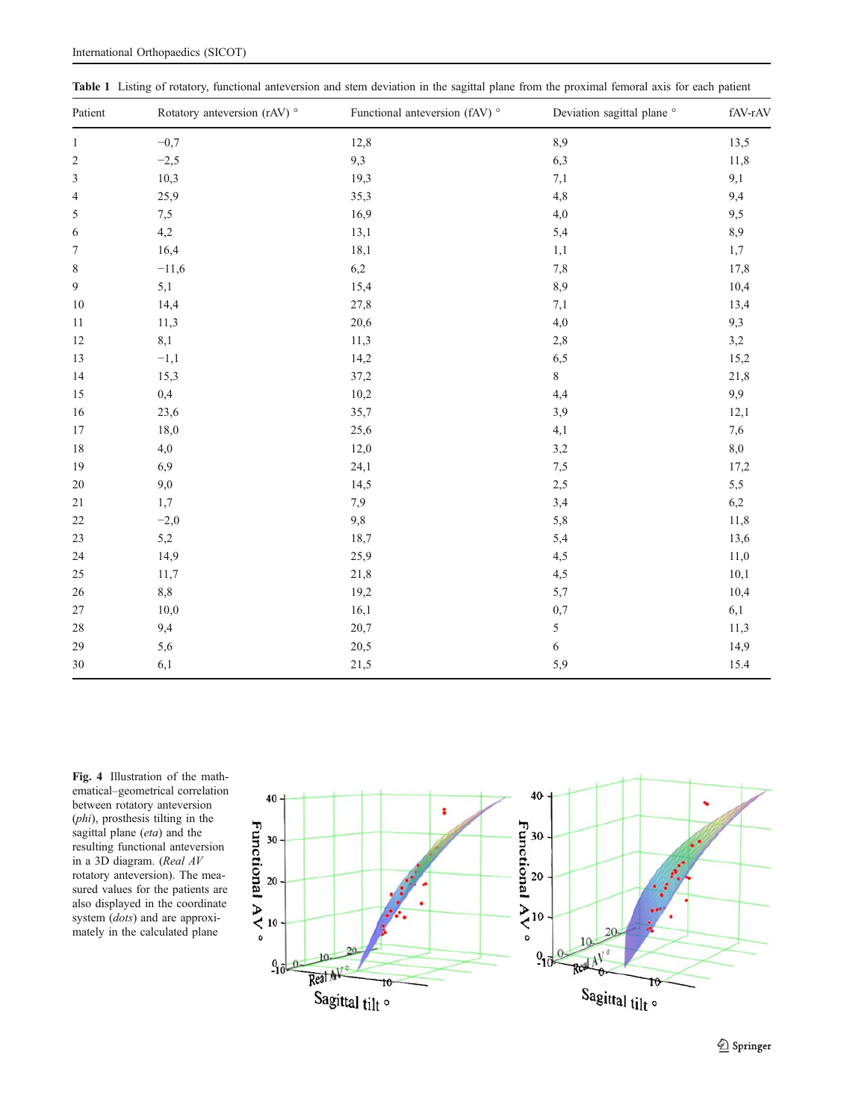| Patient          | Rotatory anteversion (rAV) ° | Functional anteversion (fAV) ° | Deviation sagittal plane ° | fAV-rAV |
|------------------|------------------------------|--------------------------------|----------------------------|---------|
| $\mathbf{1}$     | $-0,7$                       | 12,8                           | 8,9                        | 13,5    |
| $\sqrt{2}$       | $-2,5$                       | 9,3                            | 6,3                        | 11,8    |
| $\mathfrak{Z}$   | 10,3                         | 19,3                           | 7,1                        | 9,1     |
| $\overline{4}$   | 25,9                         | 35,3                           | 4,8                        | 9,4     |
| $\sqrt{5}$       | 7,5                          | 16,9                           | 4,0                        | 9,5     |
| 6                | 4,2                          | 13,1                           | 5,4                        | 8,9     |
| $\boldsymbol{7}$ | 16,4                         | 18,1                           | 1,1                        | 1,7     |
| $\,$ 8 $\,$      | $-11,6$                      | 6,2                            | $7,\!8$                    | 17,8    |
| 9                | 5,1                          | 15,4                           | 8,9                        | 10,4    |
| 10               | 14,4                         | 27,8                           | 7,1                        | 13,4    |
| 11               | 11,3                         | 20,6                           | 4,0                        | 9,3     |
| 12               | 8,1                          | 11,3                           | 2,8                        | 3,2     |
| 13               | $-1,1$                       | 14,2                           | 6,5                        | 15,2    |
| 14               | 15,3                         | 37,2                           | 8                          | 21,8    |
| 15               | 0,4                          | 10,2                           | 4,4                        | 9,9     |
| 16               | 23,6                         | 35,7                           | 3,9                        | 12,1    |
| 17               | 18,0                         | 25,6                           | 4,1                        | 7,6     |
| 18               | 4,0                          | 12,0                           | 3,2                        | 8,0     |
| 19               | 6,9                          | 24,1                           | 7,5                        | 17,2    |
| 20               | 9,0                          | 14,5                           | 2,5                        | 5,5     |
| 21               | 1,7                          | 7,9                            | 3,4                        | 6,2     |
| 22               | $-2,0$                       | 9,8                            | 5,8                        | 11,8    |
| 23               | 5,2                          | 18,7                           | 5,4                        | 13,6    |
| 24               | 14,9                         | 25,9                           | 4,5                        | 11,0    |
| 25               | 11,7                         | 21,8                           | 4,5                        | 10,1    |
| 26               | 8,8                          | 19,2                           | 5,7                        | 10,4    |
| $27\,$           | 10,0                         | 16,1                           | 0,7                        | 6,1     |
| 28               | 9,4                          | 20,7                           | 5                          | 11,3    |
| 29               | 5,6                          | 20,5                           | 6                          | 14,9    |
| $30\,$           | 6,1                          | 21,5                           | 5,9                        | 15.4    |

<span id="page-4-0"></span>Table 1 Listing of rotatory, functional anteversion and stem deviation in the sagittal plane from the proximal femoral axis for each patient

Fig. 4 Illustration of the mathematical–geometrical correlation between rotatory anteversion (phi), prosthesis tilting in the sagittal plane (eta) and the resulting functional anteversion in a 3D diagram. (Real AV rotatory anteversion). The measured values for the patients are also displayed in the coordinate system (*dots*) and are approximately in the calculated plane



 $\mathcal{D}$  Springer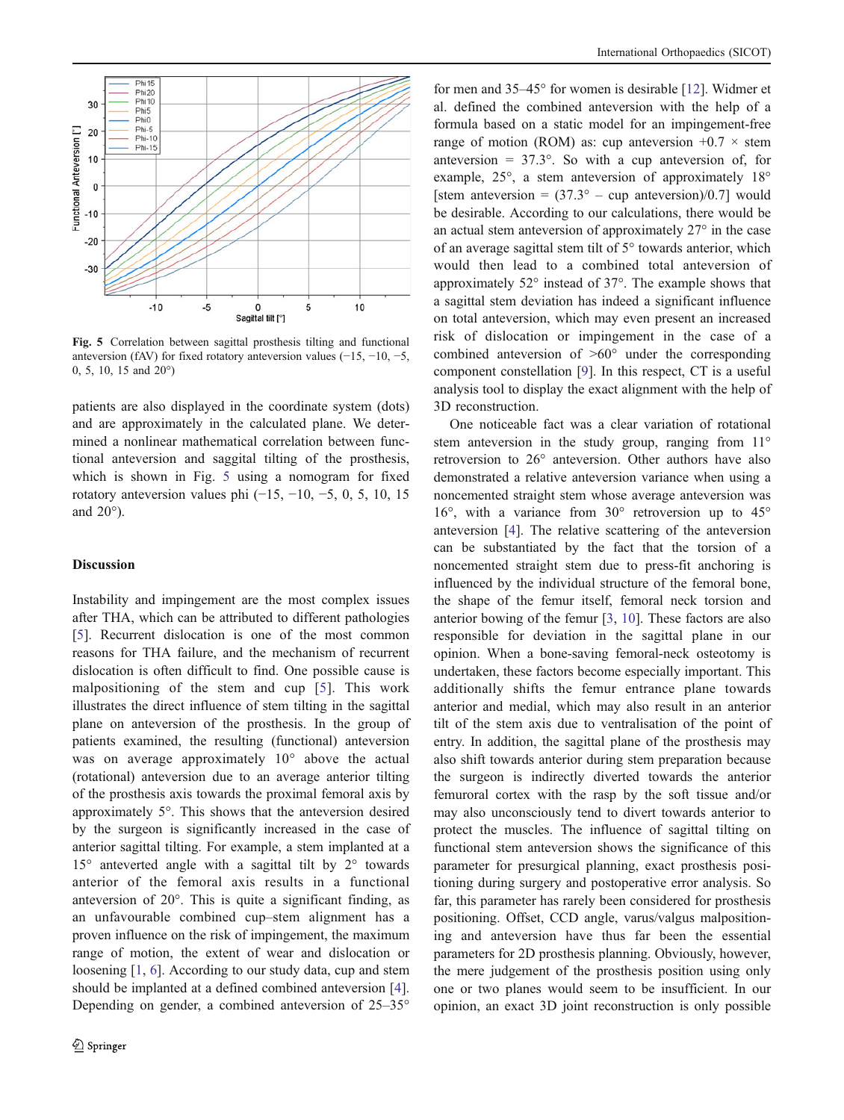

Fig. 5 Correlation between sagittal prosthesis tilting and functional anteversion (fAV) for fixed rotatory anteversion values  $(-15, -10, -5,$ 0, 5, 10, 15 and 20°)

patients are also displayed in the coordinate system (dots) and are approximately in the calculated plane. We determined a nonlinear mathematical correlation between functional anteversion and saggital tilting of the prosthesis, which is shown in Fig. 5 using a nomogram for fixed rotatory anteversion values phi (−15, −10, −5, 0, 5, 10, 15 and 20°).

## Discussion

Instability and impingement are the most complex issues after THA, which can be attributed to different pathologies [\[5](#page-6-0)]. Recurrent dislocation is one of the most common reasons for THA failure, and the mechanism of recurrent dislocation is often difficult to find. One possible cause is malpositioning of the stem and cup [[5\]](#page-6-0). This work illustrates the direct influence of stem tilting in the sagittal plane on anteversion of the prosthesis. In the group of patients examined, the resulting (functional) anteversion was on average approximately 10° above the actual (rotational) anteversion due to an average anterior tilting of the prosthesis axis towards the proximal femoral axis by approximately 5°. This shows that the anteversion desired by the surgeon is significantly increased in the case of anterior sagittal tilting. For example, a stem implanted at a 15° anteverted angle with a sagittal tilt by 2° towards anterior of the femoral axis results in a functional anteversion of 20°. This is quite a significant finding, as an unfavourable combined cup–stem alignment has a proven influence on the risk of impingement, the maximum range of motion, the extent of wear and dislocation or loosening [[1,](#page-6-0) [6\]](#page-6-0). According to our study data, cup and stem should be implanted at a defined combined anteversion [\[4](#page-6-0)]. Depending on gender, a combined anteversion of 25–35°

for men and 35–45° for women is desirable [\[12](#page-6-0)]. Widmer et al. defined the combined anteversion with the help of a formula based on a static model for an impingement-free range of motion (ROM) as: cup anteversion  $+0.7 \times$  stem anteversion  $= 37.3^{\circ}$ . So with a cup anteversion of, for example, 25°, a stem anteversion of approximately 18° [stem anteversion =  $(37.3^{\circ} - \text{cup}$  anteversion)/0.7] would be desirable. According to our calculations, there would be an actual stem anteversion of approximately 27° in the case of an average sagittal stem tilt of 5° towards anterior, which would then lead to a combined total anteversion of approximately 52° instead of 37°. The example shows that a sagittal stem deviation has indeed a significant influence on total anteversion, which may even present an increased risk of dislocation or impingement in the case of a combined anteversion of >60° under the corresponding component constellation [\[9](#page-6-0)]. In this respect, CT is a useful analysis tool to display the exact alignment with the help of 3D reconstruction.

One noticeable fact was a clear variation of rotational stem anteversion in the study group, ranging from 11° retroversion to 26° anteversion. Other authors have also demonstrated a relative anteversion variance when using a noncemented straight stem whose average anteversion was 16°, with a variance from 30° retroversion up to 45° anteversion [\[4](#page-6-0)]. The relative scattering of the anteversion can be substantiated by the fact that the torsion of a noncemented straight stem due to press-fit anchoring is influenced by the individual structure of the femoral bone, the shape of the femur itself, femoral neck torsion and anterior bowing of the femur [\[3](#page-6-0), [10\]](#page-6-0). These factors are also responsible for deviation in the sagittal plane in our opinion. When a bone-saving femoral-neck osteotomy is undertaken, these factors become especially important. This additionally shifts the femur entrance plane towards anterior and medial, which may also result in an anterior tilt of the stem axis due to ventralisation of the point of entry. In addition, the sagittal plane of the prosthesis may also shift towards anterior during stem preparation because the surgeon is indirectly diverted towards the anterior femuroral cortex with the rasp by the soft tissue and/or may also unconsciously tend to divert towards anterior to protect the muscles. The influence of sagittal tilting on functional stem anteversion shows the significance of this parameter for presurgical planning, exact prosthesis positioning during surgery and postoperative error analysis. So far, this parameter has rarely been considered for prosthesis positioning. Offset, CCD angle, varus/valgus malpositioning and anteversion have thus far been the essential parameters for 2D prosthesis planning. Obviously, however, the mere judgement of the prosthesis position using only one or two planes would seem to be insufficient. In our opinion, an exact 3D joint reconstruction is only possible